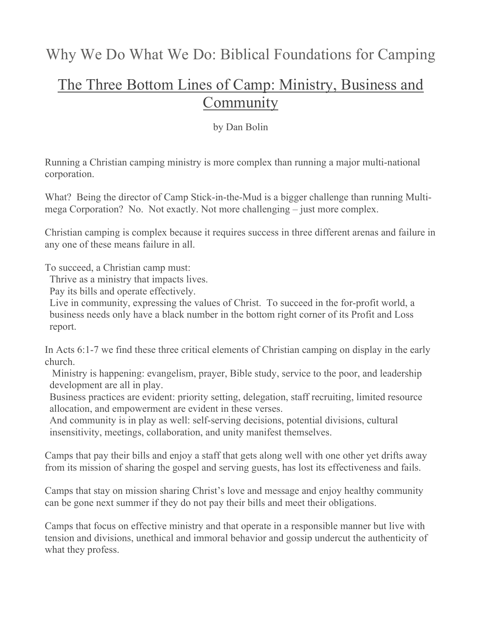## The Three Bottom Lines of Camp: Ministry, Business and **Community**

by Dan Bolin

Running a Christian camping ministry is more complex than running a major multi-national corporation.

What? Being the director of Camp Stick-in-the-Mud is a bigger challenge than running Multimega Corporation? No. Not exactly. Not more challenging – just more complex.

Christian camping is complex because it requires success in three different arenas and failure in any one of these means failure in all.

To succeed, a Christian camp must:

Thrive as a ministry that impacts lives.

Pay its bills and operate effectively.

Live in community, expressing the values of Christ. To succeed in the for-profit world, a business needs only have a black number in the bottom right corner of its Profit and Loss report.

In Acts 6:1-7 we find these three critical elements of Christian camping on display in the early church.

Ministry is happening: evangelism, prayer, Bible study, service to the poor, and leadership development are all in play.

2. Business practices are evident: priority setting, delegation, staff recruiting, limited resource allocation, and empowerment are evident in these verses.

And community is in play as well: self-serving decisions, potential divisions, cultural insensitivity, meetings, collaboration, and unity manifest themselves.

Camps that pay their bills and enjoy a staff that gets along well with one other yet drifts away from its mission of sharing the gospel and serving guests, has lost its effectiveness and fails.

Camps that stay on mission sharing Christ's love and message and enjoy healthy community can be gone next summer if they do not pay their bills and meet their obligations.

Camps that focus on effective ministry and that operate in a responsible manner but live with tension and divisions, unethical and immoral behavior and gossip undercut the authenticity of what they profess.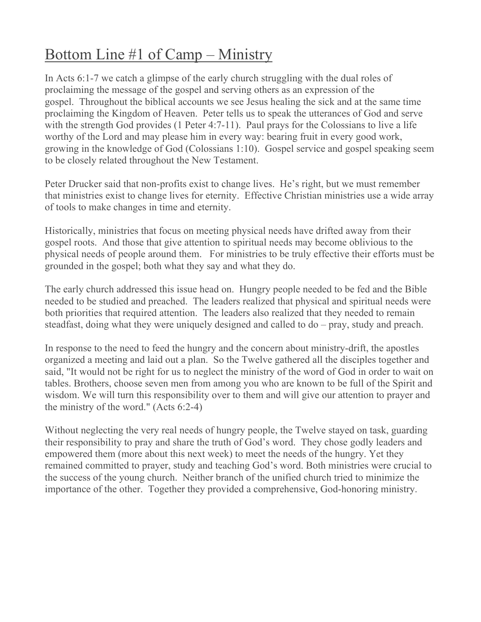## Bottom Line #1 of Camp – Ministry

In Acts 6:1-7 we catch a glimpse of the early church struggling with the dual roles of proclaiming the message of the gospel and serving others as an expression of the gospel. Throughout the biblical accounts we see Jesus healing the sick and at the same time proclaiming the Kingdom of Heaven. Peter tells us to speak the utterances of God and serve with the strength God provides (1 Peter 4:7-11). Paul prays for the Colossians to live a life worthy of the Lord and may please him in every way: bearing fruit in every good work, growing in the knowledge of God (Colossians 1:10). Gospel service and gospel speaking seem to be closely related throughout the New Testament.

Peter Drucker said that non-profits exist to change lives. He's right, but we must remember that ministries exist to change lives for eternity. Effective Christian ministries use a wide array of tools to make changes in time and eternity.

Historically, ministries that focus on meeting physical needs have drifted away from their gospel roots. And those that give attention to spiritual needs may become oblivious to the physical needs of people around them. For ministries to be truly effective their efforts must be grounded in the gospel; both what they say and what they do.

The early church addressed this issue head on. Hungry people needed to be fed and the Bible needed to be studied and preached. The leaders realized that physical and spiritual needs were both priorities that required attention. The leaders also realized that they needed to remain steadfast, doing what they were uniquely designed and called to do – pray, study and preach.

In response to the need to feed the hungry and the concern about ministry-drift, the apostles organized a meeting and laid out a plan. So the Twelve gathered all the disciples together and said, "It would not be right for us to neglect the ministry of the word of God in order to wait on tables. Brothers, choose seven men from among you who are known to be full of the Spirit and wisdom. We will turn this responsibility over to them and will give our attention to prayer and the ministry of the word." (Acts 6:2-4)

Without neglecting the very real needs of hungry people, the Twelve stayed on task, guarding their responsibility to pray and share the truth of God's word. They chose godly leaders and empowered them (more about this next week) to meet the needs of the hungry. Yet they remained committed to prayer, study and teaching God's word. Both ministries were crucial to the success of the young church. Neither branch of the unified church tried to minimize the importance of the other. Together they provided a comprehensive, God-honoring ministry.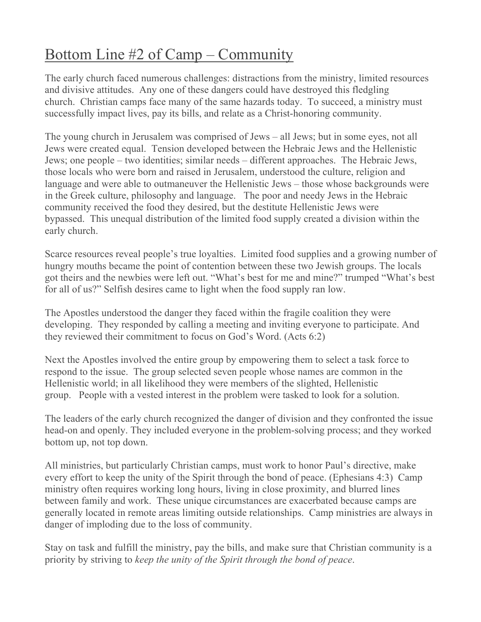## Bottom Line #2 of Camp – Community

The early church faced numerous challenges: distractions from the ministry, limited resources and divisive attitudes. Any one of these dangers could have destroyed this fledgling church. Christian camps face many of the same hazards today. To succeed, a ministry must successfully impact lives, pay its bills, and relate as a Christ-honoring community.

The young church in Jerusalem was comprised of Jews – all Jews; but in some eyes, not all Jews were created equal. Tension developed between the Hebraic Jews and the Hellenistic Jews; one people – two identities; similar needs – different approaches. The Hebraic Jews, those locals who were born and raised in Jerusalem, understood the culture, religion and language and were able to outmaneuver the Hellenistic Jews – those whose backgrounds were in the Greek culture, philosophy and language. The poor and needy Jews in the Hebraic community received the food they desired, but the destitute Hellenistic Jews were bypassed. This unequal distribution of the limited food supply created a division within the early church.

Scarce resources reveal people's true loyalties. Limited food supplies and a growing number of hungry mouths became the point of contention between these two Jewish groups. The locals got theirs and the newbies were left out. "What's best for me and mine?" trumped "What's best for all of us?" Selfish desires came to light when the food supply ran low.

The Apostles understood the danger they faced within the fragile coalition they were developing. They responded by calling a meeting and inviting everyone to participate. And they reviewed their commitment to focus on God's Word. (Acts 6:2)

Next the Apostles involved the entire group by empowering them to select a task force to respond to the issue. The group selected seven people whose names are common in the Hellenistic world; in all likelihood they were members of the slighted, Hellenistic group. People with a vested interest in the problem were tasked to look for a solution.

The leaders of the early church recognized the danger of division and they confronted the issue head-on and openly. They included everyone in the problem-solving process; and they worked bottom up, not top down.

All ministries, but particularly Christian camps, must work to honor Paul's directive, make every effort to keep the unity of the Spirit through the bond of peace. (Ephesians 4:3) Camp ministry often requires working long hours, living in close proximity, and blurred lines between family and work. These unique circumstances are exacerbated because camps are generally located in remote areas limiting outside relationships. Camp ministries are always in danger of imploding due to the loss of community.

Stay on task and fulfill the ministry, pay the bills, and make sure that Christian community is a priority by striving to *keep the unity of the Spirit through the bond of peace*.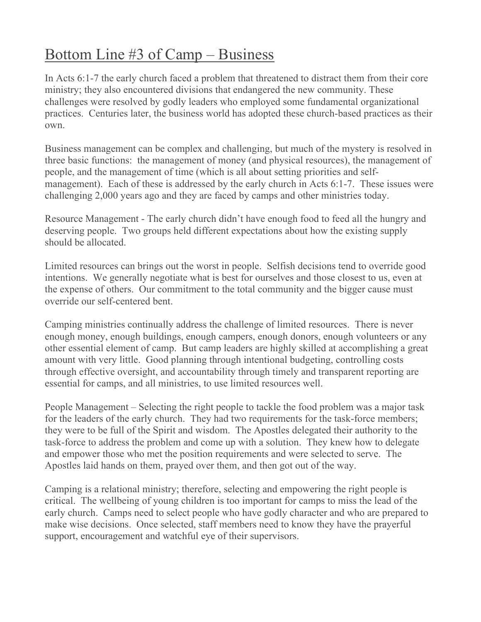## Bottom Line #3 of Camp – Business

In Acts 6:1-7 the early church faced a problem that threatened to distract them from their core ministry; they also encountered divisions that endangered the new community. These challenges were resolved by godly leaders who employed some fundamental organizational practices. Centuries later, the business world has adopted these church-based practices as their own.

Business management can be complex and challenging, but much of the mystery is resolved in three basic functions: the management of money (and physical resources), the management of people, and the management of time (which is all about setting priorities and selfmanagement). Each of these is addressed by the early church in Acts 6:1-7. These issues were challenging 2,000 years ago and they are faced by camps and other ministries today.

Resource Management - The early church didn't have enough food to feed all the hungry and deserving people. Two groups held different expectations about how the existing supply should be allocated.

Limited resources can brings out the worst in people. Selfish decisions tend to override good intentions. We generally negotiate what is best for ourselves and those closest to us, even at the expense of others. Our commitment to the total community and the bigger cause must override our self-centered bent.

Camping ministries continually address the challenge of limited resources. There is never enough money, enough buildings, enough campers, enough donors, enough volunteers or any other essential element of camp. But camp leaders are highly skilled at accomplishing a great amount with very little. Good planning through intentional budgeting, controlling costs through effective oversight, and accountability through timely and transparent reporting are essential for camps, and all ministries, to use limited resources well.

People Management – Selecting the right people to tackle the food problem was a major task for the leaders of the early church. They had two requirements for the task-force members; they were to be full of the Spirit and wisdom. The Apostles delegated their authority to the task-force to address the problem and come up with a solution. They knew how to delegate and empower those who met the position requirements and were selected to serve. The Apostles laid hands on them, prayed over them, and then got out of the way.

Camping is a relational ministry; therefore, selecting and empowering the right people is critical. The wellbeing of young children is too important for camps to miss the lead of the early church. Camps need to select people who have godly character and who are prepared to make wise decisions. Once selected, staff members need to know they have the prayerful support, encouragement and watchful eye of their supervisors.